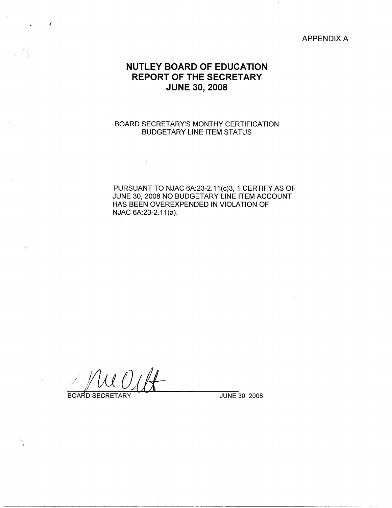## APPENDIX A

# **NUTLEY BOARD OF EDUCATION REPORT OF THE SECRETARY JUNE 30, 2008**

## BOARD SECRETARY'S MONTHY CERTIFICATION BUDGETARY LINE ITEM STATUS

PURSUANT TO NJAC 6A:23-2.11(c)3, 1 CERTIFY AS OF JUNE 30, 2008 NO BUDGETARY LINE ITEM ACCOUNT HAS BEEN OVEREXPENDED IN VIOLATION OF NJAC 6A:23-2.11(a).

BOARD SECRETARY JUNE 30, 2008

 $\setminus$ 

λ

.  $\bullet$   $\bullet$   $\bullet$   $\bullet$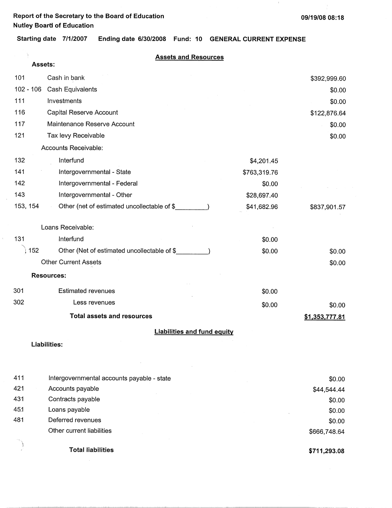**Report of the Secretary to the Board of Education 09/19/08 08:18 Nutley Boartl of Education** 

 $\mathcal{A}^{\pm}$ 

 $\tilde{\gamma}$ 

 $\mathcal{A}$ 

 $\epsilon$ 

 $\pm$ 

**Starting date 7/1/2007 Ending date 6/30/2008 Fund: 10 GENERAL CURRENT EXPENSE** 

| <b>Assets and Resources</b> |  |  |
|-----------------------------|--|--|
|                             |  |  |

|          | Assets:     |                                             |              |                |
|----------|-------------|---------------------------------------------|--------------|----------------|
| 101      |             | Cash in bank                                |              | \$392,999.60   |
|          | $102 - 106$ | Cash Equivalents                            |              | \$0.00         |
| 111      |             | Investments                                 |              | \$0.00         |
| 116      |             | Capital Reserve Account                     |              | \$122,876.64   |
| 117      |             | Maintenance Reserve Account                 |              | \$0.00         |
| 121      |             | Tax levy Receivable                         |              | \$0.00         |
|          |             | Accounts Receivable:                        |              |                |
| 132      |             | Interfund                                   | \$4,201.45   |                |
| 141      |             | Intergovernmental - State                   | \$763,319.76 |                |
| 142      |             | Intergovernmental - Federal                 | \$0.00       |                |
| 143      |             | Intergovernmental - Other                   | \$28,697.40  |                |
| 153, 154 |             | Other (net of estimated uncollectable of \$ | \$41,682.96  | \$837,901.57   |
|          |             | Loans Receivable:                           |              |                |
| 131      |             | Interfund                                   | \$0.00       |                |
|          | 152         | Other (Net of estimated uncollectable of \$ | \$0.00       | \$0.00         |
|          |             | <b>Other Current Assets</b>                 |              | \$0.00         |
|          |             | <b>Resources:</b>                           |              |                |
| 301      |             | <b>Estimated revenues</b>                   | \$0.00       |                |
| 302      |             | Less revenues                               | \$0.00       | \$0.00         |
|          |             | <b>Total assets and resources</b>           |              | \$1,353,777.81 |
|          |             | <b>Liabilities and fund equity</b>          |              |                |
|          |             | <b>Liabilities:</b>                         |              |                |
| 411      |             | Intergovernmental accounts payable - state  |              | \$0.00         |

| 421 | Accounts payable          | \$44,544.44  |
|-----|---------------------------|--------------|
| 431 | Contracts payable         | \$0.00       |
| 451 | Loans payable             | \$0.00       |
| 481 | Deferred revenues         | \$0.00       |
|     | Other current liabilities | \$666,748.64 |
|     |                           |              |
|     | <b>Total liabilities</b>  | \$711,293.08 |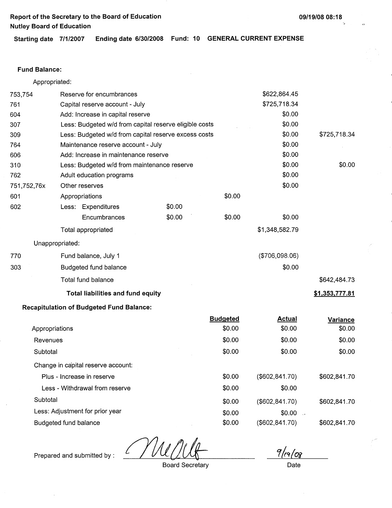**Starting date 7/1/2007 Ending date 6/30/2008 Fund: 10 GENERAL CURRENT EXPENSE** 

### **Fund Balance:**

Appropriated:

| 753,754     |                 | Reserve for encumbrances                               |        |                 | \$622,864.45                 |                |
|-------------|-----------------|--------------------------------------------------------|--------|-----------------|------------------------------|----------------|
| 761         |                 | Capital reserve account - July                         |        |                 | \$725,718.34                 |                |
| 604         |                 | Add: Increase in capital reserve                       |        |                 | \$0.00                       |                |
| 307         |                 | Less: Budgeted w/d from capital reserve eligible costs |        |                 | \$0.00                       |                |
| 309         |                 | Less: Budgeted w/d from capital reserve excess costs   |        |                 | \$0.00                       | \$725,718.34   |
| 764         |                 | Maintenance reserve account - July                     |        |                 | \$0.00                       |                |
| 606         |                 | Add: Increase in maintenance reserve                   | \$0.00 |                 |                              |                |
| 310         |                 | Less: Budgeted w/d from maintenance reserve            |        |                 | \$0.00                       | \$0.00         |
| 762         |                 | Adult education programs                               |        |                 | \$0.00                       |                |
| 751,752,76x |                 | Other reserves                                         |        |                 | \$0.00                       |                |
| 601         |                 | Appropriations                                         |        | \$0.00          |                              |                |
| 602         |                 | Less: Expenditures                                     | \$0.00 |                 |                              |                |
|             |                 | Encumbrances                                           | \$0.00 | \$0.00          | \$0.00                       |                |
|             |                 | Total appropriated                                     |        |                 | \$1,348,582.79               |                |
|             | Unappropriated: |                                                        |        |                 |                              |                |
| 770         |                 | Fund balance, July 1                                   |        |                 | (\$706,098.06)               |                |
| 303         |                 | Budgeted fund balance                                  |        |                 | \$0.00                       |                |
|             |                 | Total fund balance                                     |        |                 |                              | \$642,484.73   |
|             |                 | <b>Total liabilities and fund equity</b>               |        |                 |                              | \$1,353,777.81 |
|             |                 | <b>Recapitulation of Budgeted Fund Balance:</b>        |        |                 |                              |                |
|             |                 |                                                        |        | <b>Budgeted</b> | <b>Actual</b>                | Variance       |
|             | Appropriations  |                                                        |        | \$0.00          | \$0.00                       | \$0.00         |
| Revenues    |                 |                                                        |        | \$0.00          | \$0.00                       | \$0.00         |
| Subtotal    |                 |                                                        |        | \$0.00          | \$0.00                       | \$0.00         |
|             |                 | Change in capital reserve account:                     |        |                 |                              |                |
|             |                 | Plus - Increase in reserve                             |        | \$0.00          | (\$602, 841.70)              | \$602,841.70   |
|             |                 | Less - Withdrawal from reserve                         |        | \$0.00          | \$0.00                       |                |
| Subtotal    |                 |                                                        |        | \$0.00          | (\$602, 841.70)              | \$602,841.70   |
|             |                 | Less: Adjustment for prior year                        |        | \$0.00          | \$0.00<br>$\sim$ . $\bullet$ |                |

Budgeted fund balance

Prepared and submitted by :

Board Secretary

\$0.00

 $9|a|08$ 

(\$602,841.70)

Date

\$602,841.70-

.. ,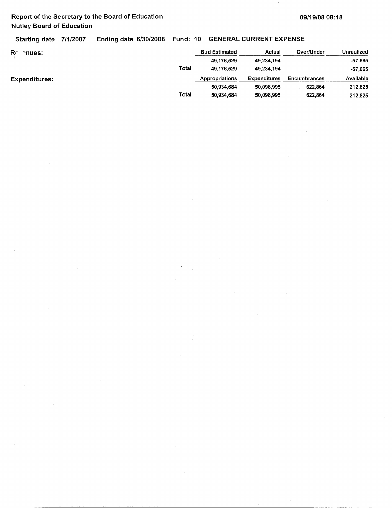$\mathfrak{c}$ 

Starting date 7/1/2007 Ending date 6/30/2008 Fund: 10 GENERAL CURRENT EXPENSE

| R٢<br>nues:          |       | <b>Bud Estimated</b> | Actual              | Over/Under          | Unrealized |
|----------------------|-------|----------------------|---------------------|---------------------|------------|
|                      |       | 49,176,529           | 49,234,194          |                     | -57,665    |
|                      | Total | 49,176,529           | 49.234.194          |                     | -57.665    |
| <b>Expenditures:</b> |       | Appropriations       | <b>Expenditures</b> | <b>Encumbrances</b> | Available  |
|                      |       | 50.934.684           | 50.098.995          | 622.864             | 212,825    |
|                      | Total | 50,934,684           | 50.098,995          | 622,864             | 212,825    |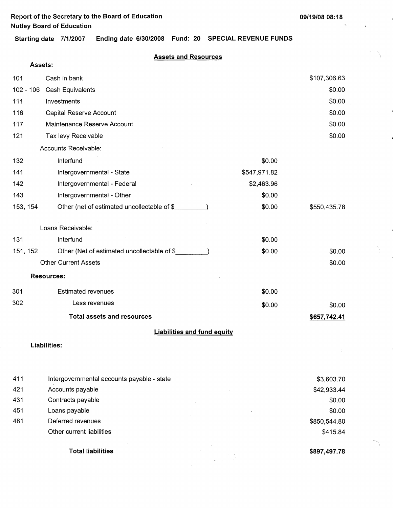**Assets:** 

 $\mathcal{D}_\alpha$ 

 $\overline{\phantom{0}}$ 

**Starting date 7/1/2007 Ending date 6/30/2008 Fund: 20 SPECIAL REVENUE FUNDS** 

## **Assets and Resources**

| 101         | Cash in bank                                 |              | \$107,306.63 |
|-------------|----------------------------------------------|--------------|--------------|
| $102 - 106$ | Cash Equivalents                             |              | \$0.00       |
| 111         | Investments                                  |              | \$0.00       |
| 116         | Capital Reserve Account                      |              | \$0.00       |
| 117         | Maintenance Reserve Account                  |              | \$0.00       |
| 121         | Tax levy Receivable                          |              | \$0.00       |
|             | Accounts Receivable:                         |              |              |
| 132         | Interfund                                    | \$0.00       |              |
| 141         | Intergovernmental - State                    | \$547,971.82 |              |
| 142         | Intergovernmental - Federal                  | \$2,463.96   |              |
| 143         | Intergovernmental - Other                    | \$0.00       |              |
| 153, 154    | Other (net of estimated uncollectable of \$  | \$0.00       | \$550,435.78 |
|             | Loans Receivable:                            |              |              |
| 131         | Interfund                                    | \$0.00       |              |
| 151, 152    | Other (Net of estimated uncollectable of \$_ | \$0.00       | \$0.00       |
|             | <b>Other Current Assets</b>                  |              | \$0.00       |
|             | <b>Resources:</b>                            |              |              |
| 301         | <b>Estimated revenues</b>                    | \$0.00       |              |
| 302         | Less revenues                                | \$0.00       | \$0.00       |
|             | <b>Total assets and resources</b>            |              | \$657,742.41 |
|             | <b>Liabilities and fund equity</b>           |              |              |
|             | Liabilities:                                 |              |              |
|             |                                              |              |              |
|             |                                              |              |              |

| 411 | Intergovernmental accounts payable - state | \$3,603.70   |
|-----|--------------------------------------------|--------------|
| 421 | Accounts payable                           | \$42,933.44  |
| 431 | Contracts payable                          | \$0.00       |
| 451 | Loans payable                              | \$0.00       |
| 481 | Deferred revenues                          | \$850,544.80 |
|     | Other current liabilities                  | \$415.84     |
|     | <b>Total liabilities</b>                   | \$897,497.78 |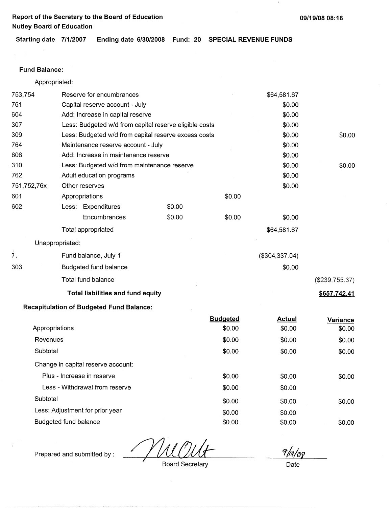$\bar{1}$ 

**Starting date 7/1/2007 Ending date 6/30/2008 Fund: 20 SPECIAL REVENUE FUNDS** 

## **Fund Balance:**

 $\bar{f}$ 

Appropriated:

| 753,754          | Reserve for encumbrances                               |        |                 | \$64,581.67      |                |
|------------------|--------------------------------------------------------|--------|-----------------|------------------|----------------|
| 761              | Capital reserve account - July                         |        |                 | \$0.00           |                |
| 604              | Add: Increase in capital reserve                       |        |                 | \$0.00           |                |
| 307              | Less: Budgeted w/d from capital reserve eligible costs |        |                 | \$0.00           |                |
| 309              | Less: Budgeted w/d from capital reserve excess costs   |        |                 | \$0.00           | \$0.00         |
| 764              | Maintenance reserve account - July                     |        |                 | \$0.00           |                |
| 606              | Add: Increase in maintenance reserve                   |        |                 | \$0.00           |                |
| 310              | Less: Budgeted w/d from maintenance reserve            |        |                 | \$0.00           | \$0.00         |
| 762              | Adult education programs                               |        |                 | \$0.00           |                |
| 751,752,76x      | Other reserves                                         |        |                 | \$0.00           |                |
| 601              | Appropriations                                         |        | \$0.00          |                  |                |
| 602              | Less: Expenditures                                     | \$0.00 |                 |                  |                |
|                  | Encumbrances                                           | \$0.00 | \$0.00          | \$0.00           |                |
|                  | Total appropriated                                     |        |                 | \$64,581.67      |                |
| Unappropriated:  |                                                        |        |                 |                  |                |
| $\overline{7}$ . | Fund balance, July 1                                   |        |                 | ( \$304, 337.04) |                |
| 303              | Budgeted fund balance                                  |        |                 | \$0.00           |                |
|                  | Total fund balance                                     |        |                 |                  | (\$239,755.37) |
|                  | <b>Total liabilities and fund equity</b>               |        |                 |                  | \$657,742.41   |
|                  | <b>Recapitulation of Budgeted Fund Balance:</b>        |        |                 |                  |                |
|                  |                                                        |        | <b>Budgeted</b> | <b>Actual</b>    | Variance       |
| Appropriations   |                                                        |        | \$0.00          | \$0.00           | \$0.00         |
| Revenues         |                                                        |        | \$0.00          | \$0.00           | \$0.00         |
| Subtotal         |                                                        |        | \$0.00          | \$0.00           | \$0.00         |
|                  | Change in capital reserve account:                     |        |                 |                  |                |
|                  | Plus - Increase in reserve                             |        | \$0.00          | \$0.00           | \$0.00         |

| Subtotal                        | \$0.00 | \$0.00 |
|---------------------------------|--------|--------|
| Less: Adjustment for prior year | \$0.00 | \$0.00 |
| Budgeted fund balance           | \$0.00 | \$0.00 |

Prepared and submitted by :

Less - Withdrawal from reserve  $$0.00$  \$0.00 \$0.00

 $9/10$ 

\$0.00

\$0.00

Board Secretary **Date**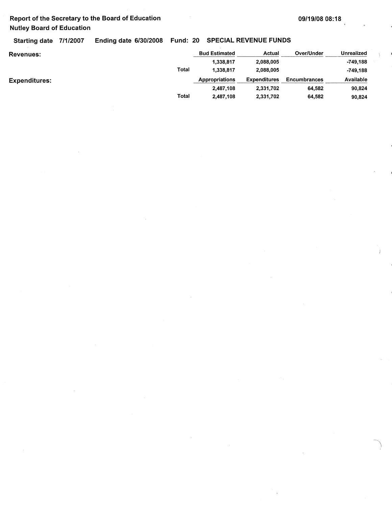Starting date 7/1/2007 Ending date 6/30/2008 Fund: 20 SPECIAL REVENUE FUNDS

| <b>Revenues:</b> |       | <b>Bud Estimated</b> | Actual              | Over/Under          | Unrealized |
|------------------|-------|----------------------|---------------------|---------------------|------------|
|                  |       | 1,338,817            | 2,088,005           |                     | -749.188   |
|                  | Total | 1,338,817            | 2.088.005           |                     | -749.188   |
| Expenditures:    |       | Appropriations       | <b>Expenditures</b> | <b>Encumbrances</b> | Available  |
|                  |       | 2,487,108            | 2,331,702           | 64,582              | 90,824     |
|                  | Total | 2,487,108            | 2.331.702           | 64,582              | 90,824     |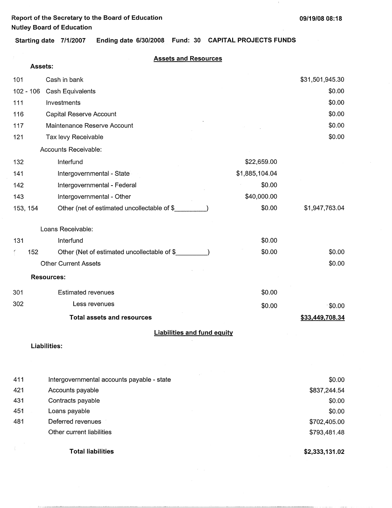$\pm$ 

**Starting date 7/1/2007 Ending date 6/30/2008 Fund: 30 CAPITAL PROJECTS FUNDS** 

## **Assets and Resources**

| Assets:     |                                              |                |                        |
|-------------|----------------------------------------------|----------------|------------------------|
| 101         | Cash in bank                                 |                | \$31,501,945.30        |
| $102 - 106$ | Cash Equivalents                             |                | \$0.00                 |
| 111         | Investments                                  |                | \$0.00                 |
| 116         | Capital Reserve Account                      |                | \$0.00                 |
| 117         | Maintenance Reserve Account                  |                | \$0.00                 |
| 121         | Tax levy Receivable                          |                | \$0.00                 |
|             | Accounts Receivable:                         |                |                        |
| 132         | Interfund                                    | \$22,659.00    |                        |
| 141         | Intergovernmental - State                    | \$1,885,104.04 |                        |
| 142         | Intergovernmental - Federal                  | \$0.00         |                        |
| 143         | Intergovernmental - Other                    | \$40,000.00    |                        |
| 153, 154    | Other (net of estimated uncollectable of \$  | \$0.00         | \$1,947,763.04         |
|             | Loans Receivable:                            |                |                        |
| 131         | Interfund                                    | \$0.00         |                        |
| 152         | Other (Net of estimated uncollectable of \$_ | \$0.00         | \$0.00                 |
|             | <b>Other Current Assets</b>                  |                | \$0.00                 |
|             | <b>Resources:</b>                            |                |                        |
| 301         | <b>Estimated revenues</b>                    | \$0.00         |                        |
| 302         | Less revenues                                | \$0.00         | $\sqrt{50.00}$         |
|             | <b>Total assets and resources</b>            |                | \$33,449,708.34        |
|             | <b>Liabilities and fund equity</b>           |                |                        |
|             | <b>Liabilities:</b>                          |                |                        |
|             |                                              |                |                        |
|             |                                              |                |                        |
| 411         | Intergovernmental accounts payable - state   |                | \$0.00                 |
| 421<br>431  | Accounts payable<br>Contracts payable        |                | \$837,244.54<br>\$0.00 |
| 451         | Loans payable                                |                | \$0.00                 |
| 481         | Deferred revenues                            |                | \$702,405.00           |

- Other current liabilities
	- **Total liabilities**

**\$2,333,131.02** 

\$793,481.48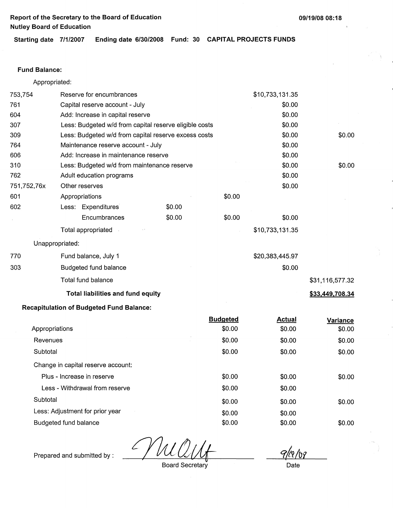**Starting date 7/1/2007 Ending date 6/30/2008 Fund: 30 CAPITAL PROJECTS FUNDS** 

#### **Fund Balance:**

Appropriated:

| 753,754         | Reserve for encumbrances                               |        |                 | \$10,733,131.35 |                 |
|-----------------|--------------------------------------------------------|--------|-----------------|-----------------|-----------------|
| 761             | Capital reserve account - July                         |        |                 | \$0.00          |                 |
| 604             | Add: Increase in capital reserve                       |        |                 | \$0.00          |                 |
| 307             | Less: Budgeted w/d from capital reserve eligible costs |        |                 | \$0.00          |                 |
| 309             | Less: Budgeted w/d from capital reserve excess costs   |        |                 | \$0.00          | \$0.00          |
| 764             | Maintenance reserve account - July                     |        |                 | \$0.00          |                 |
| 606             | Add: Increase in maintenance reserve                   |        |                 | \$0.00          |                 |
| 310             | Less: Budgeted w/d from maintenance reserve            |        |                 | \$0.00          | \$0.00          |
| 762             | Adult education programs                               |        |                 | \$0.00          |                 |
| 751,752,76x     | Other reserves                                         |        |                 | \$0.00          |                 |
| 601             | Appropriations                                         |        | \$0.00          |                 |                 |
| 602             | Less: Expenditures                                     | \$0.00 |                 |                 |                 |
|                 | Encumbrances                                           | \$0.00 | \$0.00          | \$0.00          |                 |
|                 | Total appropriated                                     |        |                 | \$10,733,131.35 |                 |
| Unappropriated: |                                                        |        |                 |                 |                 |
| 770             | Fund balance, July 1                                   |        |                 | \$20,383,445.97 |                 |
| 303             | Budgeted fund balance                                  |        |                 | \$0.00          |                 |
|                 | Total fund balance                                     |        |                 |                 | \$31,116,577.32 |
|                 | <b>Total liabilities and fund equity</b>               |        |                 |                 | \$33,449,708.34 |
|                 | <b>Recapitulation of Budgeted Fund Balance:</b>        |        |                 |                 |                 |
|                 |                                                        |        | <b>Budgeted</b> | <b>Actual</b>   | Variance        |
| Appropriations  |                                                        |        | \$0.00          | \$0.00          | \$0.00          |
| Revenues        |                                                        |        | \$0.00          | \$0.00          | \$0.00          |

| Revenues                           | \$0.00 | \$0.00 | \$0.00 |
|------------------------------------|--------|--------|--------|
| Subtotal                           | \$0.00 | \$0.00 | \$0.00 |
| Change in capital reserve account: |        |        |        |
| Plus - Increase in reserve         | \$0.00 | \$0.00 | \$0.00 |
| Less - Withdrawal from reserve     | \$0.00 | \$0.00 |        |
| Subtotal                           | \$0.00 | \$0.00 | \$0.00 |
| Less: Adjustment for prior year    | \$0.00 | \$0.00 |        |
| Budgeted fund balance              | \$0.00 | \$0.00 | \$0.00 |

M

Prepared and submitted by :

Board Secretary **Date** 

 $91010$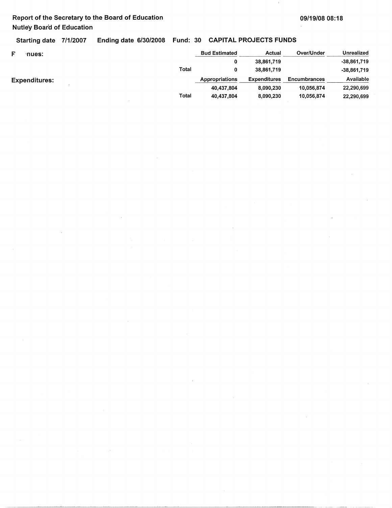Starting date 7/1/2007 Ending date 6/30/2008 Fund: 30 CAPITAL PROJECTS FUNDS

| F<br>nues:           |       | <b>Bud Estimated</b> | Actual              | Over/Under   | <b>Unrealized</b> |
|----------------------|-------|----------------------|---------------------|--------------|-------------------|
|                      |       |                      | 38,861,719          |              | $-38,861,719$     |
|                      | Total |                      | 38,861,719          |              | -38,861,719       |
| <b>Expenditures:</b> |       | Appropriations       | <b>Expenditures</b> | Encumbrances | Available         |
|                      |       | 40,437,804           | 8.090.230           | 10,056,874   | 22,290,699        |
|                      | Total | 40,437,804           | 8,090,230           | 10,056,874   | 22,290,699        |

----~-~~-~-~-~---~-~--~------------------ -·------- ---- --------------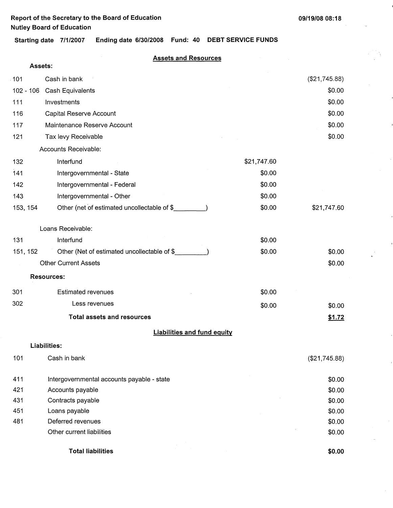$\mathcal{L}^{\mathcal{L}}$ 

**Starting date 7/1/2007 Ending date 6/30/2008 Fund: 40 DEBT SERVICE FUNDS** 

## **Assets and Resources**

| Assets:     |                                             |             |               |
|-------------|---------------------------------------------|-------------|---------------|
| 101         | Cash in bank                                |             | (\$21,745.88) |
| $102 - 106$ | Cash Equivalents                            |             | \$0.00        |
| 111         | Investments                                 |             | \$0.00        |
| 116         | Capital Reserve Account                     |             | \$0.00        |
| 117         | Maintenance Reserve Account                 |             | \$0.00        |
| 121         | Tax levy Receivable                         |             | \$0.00        |
|             | Accounts Receivable:                        |             |               |
| 132         | Interfund                                   | \$21,747.60 |               |
| 141         | Intergovernmental - State                   | \$0.00      |               |
| 142         | Intergovernmental - Federal                 | \$0.00      |               |
| 143         | Intergovernmental - Other                   | \$0.00      |               |
| 153, 154    | Other (net of estimated uncollectable of \$ | \$0.00      | \$21,747.60   |
|             | Loans Receivable:                           |             |               |
| 131         | Interfund                                   | \$0.00      |               |
| 151, 152    | Other (Net of estimated uncollectable of \$ | \$0.00      | \$0.00        |
|             | <b>Other Current Assets</b>                 |             | \$0.00        |
|             | <b>Resources:</b>                           |             |               |
| 301         | <b>Estimated revenues</b>                   | \$0.00      |               |
| 302         | Less revenues                               | \$0.00      | \$0.00        |
|             | <b>Total assets and resources</b>           |             | \$1.72        |
|             | <b>Liabilities and fund equity</b>          |             |               |
|             | Liabilities:                                |             |               |
| 101         | Cash in bank                                |             | (\$21,745.88) |
| 411         | Intergovernmental accounts payable - state  |             | \$0.00        |
| 421         | Accounts payable                            |             | \$0.00        |
| 431         | Contracts payable                           |             | \$0.00        |
| 451         | Loans payable                               |             | \$0.00        |
| 481         | Deferred revenues                           |             | \$0.00        |
|             | Other current liabilities                   |             | \$0.00        |
|             | <b>Total liabilities</b>                    |             | \$0.00        |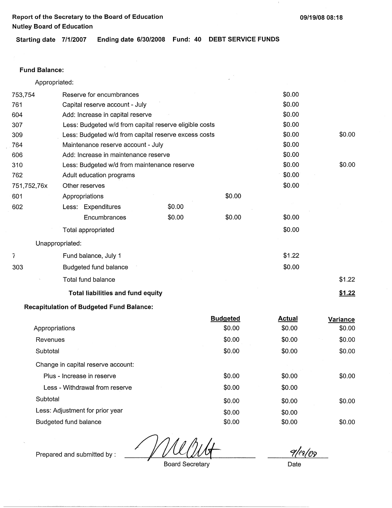$\,$   $\,$ 

**Starting date 7/1/2007 Ending date 6/30/2008 Fund: 40 DEBT SERVICE FUNDS** 

### **Fund Balance:**

Appropriated:

| 753,754         | Reserve for encumbrances                               |        |        | \$0.00 |        |
|-----------------|--------------------------------------------------------|--------|--------|--------|--------|
| 761             | Capital reserve account - July                         |        | \$0.00 |        |        |
| 604             | Add: Increase in capital reserve                       |        |        | \$0.00 |        |
| 307             | Less: Budgeted w/d from capital reserve eligible costs |        | \$0.00 |        |        |
| 309             | Less: Budgeted w/d from capital reserve excess costs   |        |        | \$0.00 | \$0.00 |
| 764             | Maintenance reserve account - July                     |        |        | \$0.00 |        |
| 606             | Add: Increase in maintenance reserve                   |        |        | \$0.00 |        |
| 310             | Less: Budgeted w/d from maintenance reserve            |        |        | \$0.00 | \$0.00 |
| 762             | Adult education programs                               |        |        | \$0.00 |        |
| 751,752,76x     | Other reserves                                         |        |        | \$0.00 |        |
| 601             | Appropriations                                         |        | \$0.00 |        |        |
| 602             | Less: Expenditures                                     | \$0.00 |        |        |        |
|                 | Encumbrances                                           | \$0.00 | \$0.00 | \$0.00 |        |
|                 | Total appropriated                                     |        |        | \$0.00 |        |
| Unappropriated: |                                                        |        |        |        |        |
| 7               | Fund balance, July 1                                   |        |        | \$1.22 |        |
| 303             | Budgeted fund balance                                  |        |        | \$0.00 |        |
|                 | Total fund balance                                     |        |        |        | \$1.22 |
|                 | <b>Total liabilities and fund equity</b>               |        |        |        | \$1.22 |
|                 | af Dudwatad Eusel Dalas                                |        |        |        |        |

### **Recapitulation of Budgeted Fund Balance:**

|                                    | <b>Budgeted</b> | <b>Actual</b> | Variance |
|------------------------------------|-----------------|---------------|----------|
| Appropriations                     | \$0.00          | \$0.00        | \$0.00   |
| Revenues                           | \$0.00          | \$0.00        | \$0.00   |
| Subtotal                           | \$0.00          | \$0.00        | \$0.00   |
| Change in capital reserve account: |                 |               |          |
| Plus - Increase in reserve         | \$0.00          | \$0.00        | \$0.00   |
| Less - Withdrawal from reserve     | \$0.00          | \$0.00        |          |
| Subtotal                           | \$0.00          | \$0.00        | \$0.00   |
| Less: Adjustment for prior year    | \$0.00          | \$0.00        |          |
| Budgeted fund balance              | \$0.00          | \$0.00        | \$0.00   |
|                                    |                 |               |          |

Prepared and submitted by :

Board Secretary

9/02/03

Date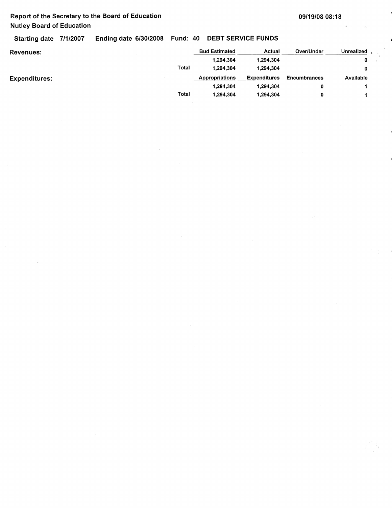Starting date 7/1/2007 Ending date 6/30/2008 Fund: 40 DEBT SERVICE FUNDS

| <b>Revenues:</b>     |       | <b>Bud Estimated</b> | Actual              | Over/Under   | <b>Unrealized</b> |
|----------------------|-------|----------------------|---------------------|--------------|-------------------|
|                      |       | 1,294,304            | 1,294,304           |              | 0                 |
|                      | Total | 1.294.304            | 1,294,304           |              | 0                 |
| <b>Expenditures:</b> |       | Appropriations       | <b>Expenditures</b> | Encumbrances | Available         |
|                      |       | 1,294,304            | 1,294,304           |              |                   |
|                      | Total | 1,294,304            | 1,294,304           | 0            |                   |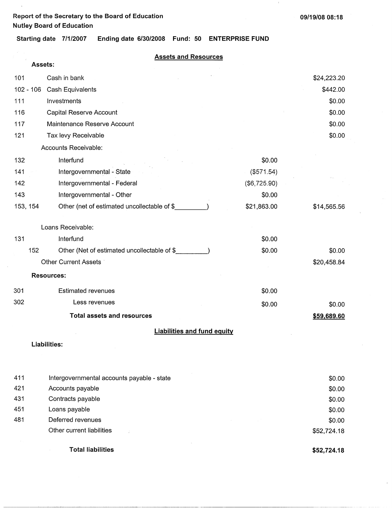$\bar{z}$ 

 $\pm$ 

**Starting date 7/1/2007 Ending date 6/30/2008 Fund: 50 ENTERPRISE FUND** 

| <b>Assets and Resources</b> |  |  |
|-----------------------------|--|--|
|                             |  |  |

|     | Assets:     |                                             |              |             |
|-----|-------------|---------------------------------------------|--------------|-------------|
| 101 |             | Cash in bank                                |              | \$24,223.20 |
|     | $102 - 106$ |                                             | \$442.00     |             |
| 111 |             |                                             | \$0.00       |             |
| 116 |             | Capital Reserve Account                     |              | \$0.00      |
| 117 |             | Maintenance Reserve Account                 |              | \$0.00      |
| 121 |             | Tax levy Receivable                         |              | \$0.00      |
|     |             | Accounts Receivable:                        |              |             |
| 132 |             | Interfund                                   | \$0.00       |             |
| 141 |             | Intergovernmental - State                   | (\$571.54)   |             |
| 142 |             | Intergovernmental - Federal                 | (\$6,725.90) |             |
| 143 |             | Intergovernmental - Other                   | \$0.00       |             |
|     | 153, 154    | Other (net of estimated uncollectable of \$ | \$21,863.00  | \$14,565.56 |
|     |             | Loans Receivable:                           |              |             |
| 131 |             | Interfund                                   | \$0.00       |             |
|     | 152         | Other (Net of estimated uncollectable of \$ | \$0.00       | \$0.00      |
|     |             | Other Current Assets                        |              | \$20,458.84 |
|     |             | <b>Resources:</b>                           |              |             |
| 301 |             | <b>Estimated revenues</b>                   | \$0.00       |             |
| 302 |             | Less revenues                               | \$0.00       | \$0.00      |
|     |             | <b>Total assets and resources</b>           |              | \$59,689.60 |
|     |             | <b>Liabilities and fund equity</b>          |              |             |
|     |             | Liabilities:                                |              |             |
| 411 |             | Intergovernmental accounts payable - state  |              | \$0.00      |
| 421 |             | Accounts payable                            |              | \$0.00      |
| 431 |             | Contracts payable                           |              | \$0.00      |
| 451 |             | Loans payable                               |              | \$0.00      |
| 481 |             | Deferred revenues                           |              | \$0.00      |
|     |             | Other current liabilities                   |              | \$52,724.18 |
|     |             |                                             |              |             |

Total liabilities

**\$52,724.18**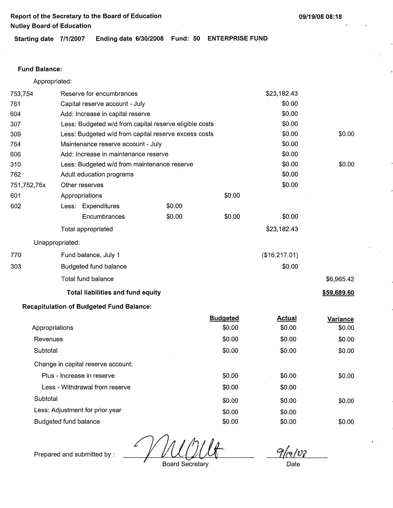**09/19/08 08:18** 

**Starting date 7/1/2007 Ending date 6/30/2008 Fund: 50 ENTERPRISE FUND** 

## **Fund Balance:**

Appropriated:

| 753,754     |                       | Reserve for encumbrances                               |        |                 | \$23,182.43   |             |
|-------------|-----------------------|--------------------------------------------------------|--------|-----------------|---------------|-------------|
| 761         |                       | Capital reserve account - July                         |        |                 | \$0.00        |             |
| 604         |                       | Add: Increase in capital reserve                       |        | \$0.00          |               |             |
| 307         |                       | Less: Budgeted w/d from capital reserve eligible costs |        |                 | \$0.00        |             |
| 309         |                       | Less: Budgeted w/d from capital reserve excess costs   |        |                 | \$0.00        | \$0.00      |
| 764         |                       | Maintenance reserve account - July                     |        |                 | \$0.00        |             |
| 606         |                       | Add: Increase in maintenance reserve                   |        |                 | \$0.00        |             |
| 310         |                       | Less: Budgeted w/d from maintenance reserve            |        |                 | \$0.00        | \$0.00      |
| 762         |                       | Adult education programs                               |        |                 | \$0.00        |             |
| 751,752,76x |                       | Other reserves                                         |        |                 | \$0.00        |             |
| 601         |                       | Appropriations                                         |        | \$0.00          |               |             |
| 602         |                       | Less: Expenditures                                     | \$0.00 |                 |               |             |
|             |                       | Encumbrances                                           | \$0.00 | \$0.00          | \$0.00        |             |
|             |                       | Total appropriated                                     |        |                 | \$23,182.43   |             |
|             | Unappropriated:       |                                                        |        |                 |               |             |
| 770         |                       | Fund balance, July 1                                   |        |                 | (\$16,217.01) |             |
| 303         |                       | <b>Budgeted fund balance</b>                           |        |                 | \$0.00        |             |
|             |                       | Total fund balance                                     |        |                 |               | \$6,965.42  |
|             |                       | <b>Total liabilities and fund equity</b>               |        |                 |               | \$59,689.60 |
|             |                       | <b>Recapitulation of Budgeted Fund Balance:</b>        |        |                 |               |             |
|             |                       |                                                        |        | <b>Budgeted</b> | <b>Actual</b> | Variance    |
|             | Appropriations        |                                                        |        | \$0.00          | \$0.00        | \$0.00      |
| Revenues    |                       |                                                        |        | \$0.00          | \$0.00        | \$0.00      |
| Subtotal    |                       |                                                        |        | \$0.00          | \$0.00        | \$0.00      |
|             |                       | Change in capital reserve account:                     |        |                 |               |             |
|             |                       | Plus - Increase in reserve                             |        | \$0.00          | \$0.00        | \$0.00      |
|             |                       | Less - Withdrawal from reserve                         |        | \$0.00          | \$0.00        |             |
| Subtotal    |                       |                                                        |        | \$0.00          | \$0.00        | \$0.00      |
|             |                       | Less: Adjustment for prior year                        |        | \$0.00          | \$0.00        |             |
|             | Budgeted fund balance |                                                        |        | \$0.00          | \$0.00        | \$0.00      |

Prepared and submitted by :

Board Secretary

 $9/19/08$ 

Date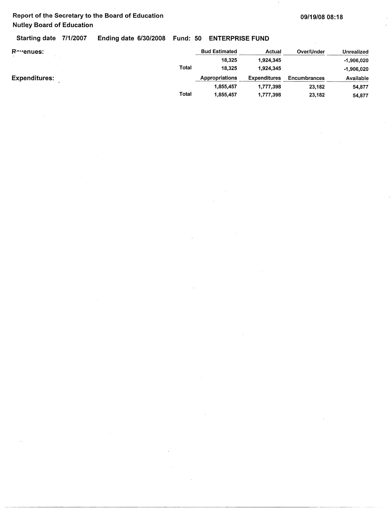Starting date 7/1/2007 Ending date 6/30/2008 Fund: 50 ENTERPRISE FUND

| Revenues:            |       | <b>Bud Estimated</b> | Actual              | Over/Under   | Unrealized   |
|----------------------|-------|----------------------|---------------------|--------------|--------------|
|                      |       | 18,325               | 1.924.345           |              | $-1,906,020$ |
|                      | Total | 18,325               | 1.924.345           |              | $-1,906.020$ |
| <b>Expenditures:</b> |       | Appropriations       | <b>Expenditures</b> | Encumbrances | Available    |
|                      |       | 1,855,457            | 1,777,398           | 23,182       | 54,877       |
|                      | Total | 1,855,457            | 1,777,398           | 23,182       | 54.877       |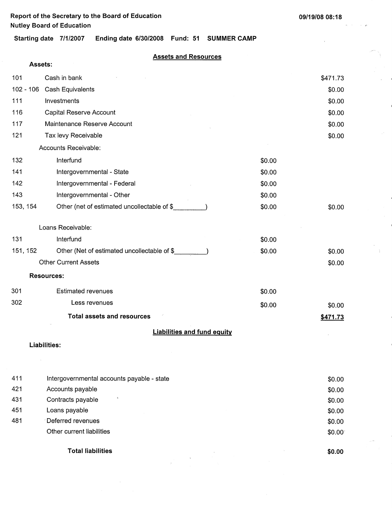$\omega_{\rm{E}}$  .

 $\sim$   $\sim$ 

 $\sim$ 

**Starting date 7/1/2007 Ending date 6/30/2008 Fund: 51 SUMMER CAMP** 

## **Assets and Resources**

|           | Assets:                                     |        |          |  |  |
|-----------|---------------------------------------------|--------|----------|--|--|
| 101       | Cash in bank                                |        | \$471.73 |  |  |
| 102 - 106 | Cash Equivalents                            |        | \$0.00   |  |  |
| 111       | Investments                                 |        |          |  |  |
| 116       | Capital Reserve Account                     |        | \$0.00   |  |  |
| 117       | Maintenance Reserve Account                 |        | \$0.00   |  |  |
| 121       | Tax levy Receivable                         |        | \$0.00   |  |  |
|           | Accounts Receivable:                        |        |          |  |  |
| 132       | Interfund                                   | \$0.00 |          |  |  |
| 141       | Intergovernmental - State                   | \$0.00 |          |  |  |
| 142       | Intergovernmental - Federal                 | \$0.00 |          |  |  |
| 143       | Intergovernmental - Other                   | \$0.00 |          |  |  |
| 153, 154  | Other (net of estimated uncollectable of \$ | \$0.00 | \$0.00   |  |  |
|           | Loans Receivable:                           |        |          |  |  |
| 131       | Interfund                                   | \$0.00 |          |  |  |
| 151, 152  | Other (Net of estimated uncollectable of \$ | \$0.00 | \$0.00   |  |  |
|           | <b>Other Current Assets</b>                 |        | \$0.00   |  |  |
|           | <b>Resources:</b>                           |        |          |  |  |
| 301       | <b>Estimated revenues</b>                   | \$0.00 |          |  |  |
| 302       | Less revenues                               | \$0.00 | \$0.00   |  |  |
|           | <b>Total assets and resources</b>           |        | \$471.73 |  |  |
|           | <b>Liabilities and fund equity</b>          |        |          |  |  |
|           | Liabilities:                                |        |          |  |  |
|           |                                             |        |          |  |  |
| 411       | Intergovernmental accounts payable - state  |        | \$0.00   |  |  |
| 421       | Accounts payable                            |        | \$0.00   |  |  |
| 431       | $\ddot{\phantom{a}}$<br>Contracts payable   |        | \$0.00   |  |  |
| 451       | Loans payable                               |        | \$0.00   |  |  |

481 -Deferred revenues Other current liabilities

**Total liabilities** 

**\$0.00** 

\$0.00 \$0.00-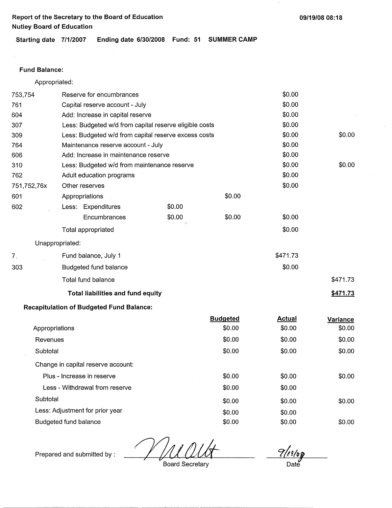**09/19/08 08:18** 

**Starting date 7/1/2007 Ending date 6/30/2008 Fund: 51 SUMMER CAMP** 

### **Fund Balance:**

÷

Appropriated:

| 753,754        | Reserve for encumbrances                               |        |                 | \$0.00   |          |
|----------------|--------------------------------------------------------|--------|-----------------|----------|----------|
| 761            | Capital reserve account - July                         |        |                 |          |          |
| 604            | Add: Increase in capital reserve                       |        |                 | \$0.00   |          |
| 307            | Less: Budgeted w/d from capital reserve eligible costs |        |                 | \$0.00   |          |
| 309            | Less: Budgeted w/d from capital reserve excess costs   |        |                 | \$0.00   | \$0.00   |
| 764            | Maintenance reserve account - July                     | \$0.00 |                 |          |          |
| 606            | Add: Increase in maintenance reserve                   | \$0.00 |                 |          |          |
| 310            | Less: Budgeted w/d from maintenance reserve            | \$0.00 | \$0.00          |          |          |
| 762            | Adult education programs                               |        |                 | \$0.00   |          |
| 751,752,76x    | Other reserves                                         |        |                 | \$0.00   |          |
| 601            | Appropriations                                         |        | \$0.00          |          |          |
| 602            | Less: Expenditures                                     | \$0.00 |                 |          |          |
|                | Encumbrances                                           | \$0.00 | \$0.00          | \$0.00   |          |
|                | Total appropriated                                     |        |                 | \$0.00   |          |
|                | Unappropriated:                                        |        |                 |          |          |
| 7 <sub>1</sub> | Fund balance, July 1                                   |        |                 | \$471.73 |          |
| 303            | Budgeted fund balance                                  |        |                 | \$0.00   |          |
|                | Total fund balance                                     |        |                 |          | \$471.73 |
|                | Total liabilities and fund equity                      |        |                 |          | \$471.73 |
|                | <b>Recapitulation of Budgeted Fund Balance:</b>        |        |                 |          |          |
|                |                                                        |        | <b>Budgeted</b> | Actual   | Variance |

|                                    | Duugotou | <u>Avtuur</u> | variance |
|------------------------------------|----------|---------------|----------|
| Appropriations                     | \$0.00   | \$0.00        | \$0.00   |
| Revenues                           | \$0.00   | \$0.00        | \$0.00   |
| Subtotal                           | \$0.00   | \$0.00        | \$0.00   |
| Change in capital reserve account: |          |               |          |
| Plus - Increase in reserve         | \$0.00   | \$0.00        | \$0.00   |
| Less - Withdrawal from reserve     | \$0.00   | \$0.00        |          |
| Subtotal                           | \$0.00   | \$0.00        | \$0.00   |
| Less: Adjustment for prior year    | \$0.00   | \$0.00        |          |
| Budgeted fund balance              | \$0.00   | \$0.00        | \$0.00   |
|                                    |          |               |          |

 $\frac{9/11/6}{\theta}$ Date

Prepared and submitted by :

Board Secretary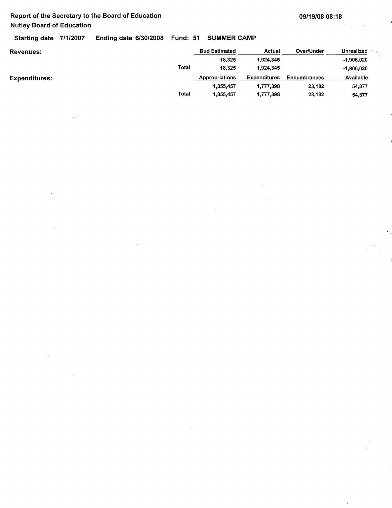$\mathcal{L}$ 

Starting date 7/1/2007 Ending date 6/30/2008 Fund: 51 SUMMER **CAMP** 

| Revenues:     | <b>Bud Estimated</b> | Actual              | Over/Under          | <b>Unrealized</b> |
|---------------|----------------------|---------------------|---------------------|-------------------|
|               | 18,325               | 1,924,345           |                     | -1.906.020        |
| <b>Total</b>  | 18,325               | 1,924,345           |                     | $-1.906.020$      |
| Expenditures: | Appropriations       | <b>Expenditures</b> | <b>Encumbrances</b> | Available         |
|               | 1,855,457            | 1,777,398           | 23,182              | 54,877            |
| Total         | 1,855,457            | 1,777,398           | 23,182              | 54,877            |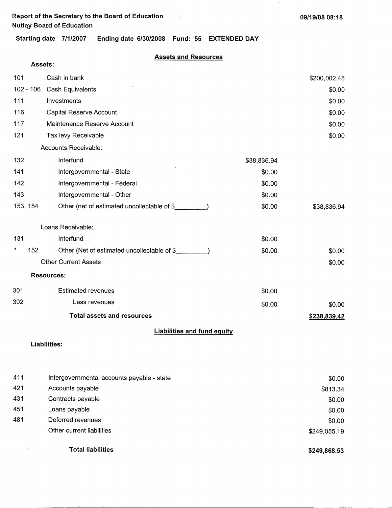$\mathbf{r}$ 

**Starting date 7/1/2007 Ending date 6/30/2008 Fund: 55 EXTENDED DAY** 

**Assets and Resources** 

|             | Assets:                                     |             |              |
|-------------|---------------------------------------------|-------------|--------------|
| 101         | Cash in bank                                |             | \$200,002.48 |
| $102 - 106$ | Cash Equivalents                            |             | \$0.00       |
| 111         | Investments                                 |             | \$0.00       |
| 116         | Capital Reserve Account                     |             | \$0.00       |
| 117         | Maintenance Reserve Account                 |             | \$0.00       |
| 121         | Tax levy Receivable                         |             | \$0.00       |
|             | Accounts Receivable:                        |             |              |
| 132         | Interfund                                   | \$38,836.94 |              |
| 141         | Intergovernmental - State                   | \$0.00      |              |
| 142         | Intergovernmental - Federal                 | \$0.00      |              |
| 143         | Intergovernmental - Other                   | \$0.00      |              |
| 153, 154    | Other (net of estimated uncollectable of \$ | \$0.00      | \$38,836.94  |
|             | Loans Receivable:                           |             |              |
| 131         | Interfund                                   | \$0.00      |              |
| 4<br>152    | Other (Net of estimated uncollectable of \$ | \$0.00      | \$0.00       |
|             | <b>Other Current Assets</b>                 |             | \$0.00       |
|             | <b>Resources:</b>                           |             |              |
| 301         | <b>Estimated revenues</b>                   | \$0.00      |              |
| 302         | Less revenues                               | \$0.00      | \$0.00       |
|             | <b>Total assets and resources</b>           |             | \$238,839.42 |
|             | <b>Liabilities and fund equity</b>          |             |              |
|             | Liabilities:                                |             |              |
| 411         | Intergovernmental accounts payable - state  |             | \$0.00       |
| 421         | Accounts payable                            |             | \$813.34     |

\$0.00 \$0.00 \$0.00 \$249,055.19

**Total liabilities** 

Contracts payable Loans payable Deferred revenues Other current liabilities

431 451 481

**"\$249,868.53**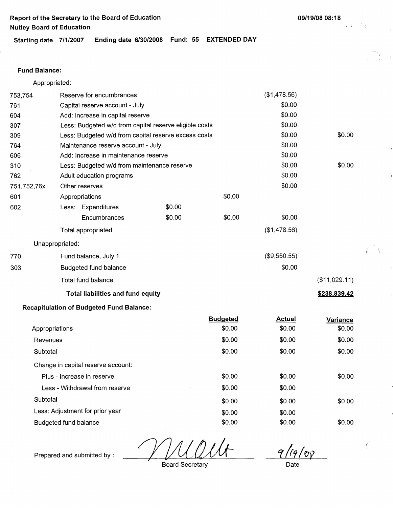**Starting date 7/1/2007 Ending date 6/30/2008 Fund: 55 EXTENDED DAY** 

### **Fund Balance:**

Appropriated:

Prepared and submitted by :

| 753,754               |                 | Reserve for encumbrances                               |        |                 | (\$1,478.56)  |               |
|-----------------------|-----------------|--------------------------------------------------------|--------|-----------------|---------------|---------------|
| 761                   |                 | Capital reserve account - July                         |        |                 | \$0.00        |               |
| 604                   |                 | Add: Increase in capital reserve                       |        |                 | \$0.00        |               |
| 307                   |                 | Less: Budgeted w/d from capital reserve eligible costs |        |                 | \$0.00        |               |
| 309                   |                 | Less: Budgeted w/d from capital reserve excess costs   |        |                 | \$0.00        | \$0.00        |
| 764                   |                 | Maintenance reserve account - July                     |        |                 |               |               |
| 606                   |                 | Add: Increase in maintenance reserve                   |        |                 | \$0.00        |               |
| 310                   |                 | Less: Budgeted w/d from maintenance reserve            |        |                 | \$0.00        | \$0.00        |
| 762                   |                 | Adult education programs                               |        |                 | \$0.00        |               |
| 751,752,76x           |                 | Other reserves                                         |        |                 | \$0.00        |               |
| 601                   |                 | Appropriations                                         |        | \$0.00          |               |               |
| 602                   |                 | Less: Expenditures                                     | \$0.00 |                 |               |               |
|                       |                 | Encumbrances                                           | \$0.00 | \$0.00          | \$0.00        |               |
|                       |                 | Total appropriated                                     |        |                 | (\$1,478.56)  |               |
|                       | Unappropriated: |                                                        |        |                 |               |               |
| 770                   |                 | Fund balance, July 1                                   |        |                 | (\$9,550.55)  |               |
| 303                   |                 | <b>Budgeted fund balance</b>                           |        |                 | \$0.00        |               |
|                       |                 | Total fund balance                                     |        |                 |               | (\$11,029.11) |
|                       |                 | <b>Total liabilities and fund equity</b>               |        |                 |               | \$238,839.42  |
|                       |                 | <b>Recapitulation of Budgeted Fund Balance:</b>        |        |                 |               |               |
|                       |                 |                                                        |        | <b>Budgeted</b> | <b>Actual</b> | Variance      |
| Appropriations        |                 |                                                        |        | \$0.00          | \$0.00        | \$0.00        |
| Revenues              |                 |                                                        | \$0.00 | \$0.00          | \$0.00        |               |
| Subtotal              |                 |                                                        |        | \$0.00          | \$0.00        | \$0.00        |
|                       |                 | Change in capital reserve account:                     |        |                 |               |               |
|                       |                 | Plus - Increase in reserve                             |        | \$0.00          | \$0.00        | \$0.00        |
|                       |                 | Less - Withdrawal from reserve                         |        | \$0.00          | \$0.00        |               |
| Subtotal              |                 |                                                        |        | \$0.00          | \$0.00        | \$0.00        |
|                       |                 | Less: Adjustment for prior year                        |        | \$0.00          | \$0.00        |               |
| Budgeted fund balance |                 |                                                        |        | \$0.00          | \$0.00        | \$0.00        |
|                       |                 |                                                        |        |                 |               |               |

 $9/19/00$ 

(

Board Secretary

Date